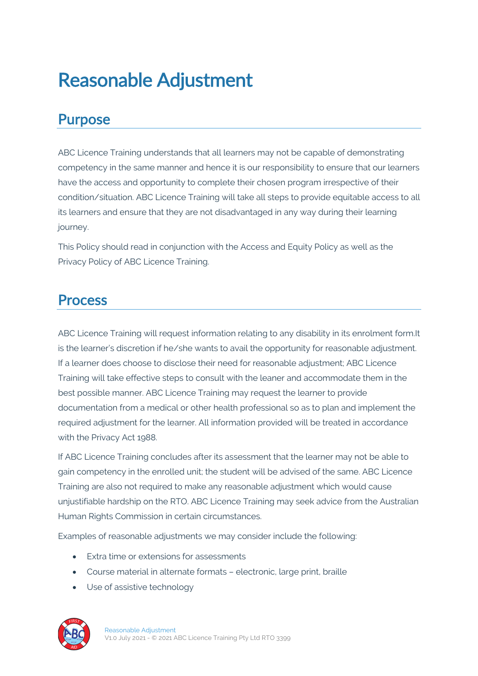# Reasonable Adjustment

#### Purpose

ABC Licence Training understands that all learners may not be capable of demonstrating competency in the same manner and hence it is our responsibility to ensure that our learners have the access and opportunity to complete their chosen program irrespective of their condition/situation. ABC Licence Training will take all steps to provide equitable access to all its learners and ensure that they are not disadvantaged in any way during their learning journey.

This Policy should read in conjunction with the Access and Equity Policy as well as the Privacy Policy of ABC Licence Training.

#### Process

ABC Licence Training will request information relating to any disability in its enrolment form.It is the learner's discretion if he/she wants to avail the opportunity for reasonable adjustment. If a learner does choose to disclose their need for reasonable adjustment; ABC Licence Training will take effective steps to consult with the leaner and accommodate them in the best possible manner. ABC Licence Training may request the learner to provide documentation from a medical or other health professional so as to plan and implement the required adjustment for the learner. All information provided will be treated in accordance with the Privacy Act 1988.

If ABC Licence Training concludes after its assessment that the learner may not be able to gain competency in the enrolled unit; the student will be advised of the same. ABC Licence Training are also not required to make any reasonable adjustment which would cause unjustifiable hardship on the RTO. ABC Licence Training may seek advice from the Australian Human Rights Commission in certain circumstances.

Examples of reasonable adjustments we may consider include the following:

- Extra time or extensions for assessments
- Course material in alternate formats electronic, large print, braille
- Use of assistive technology